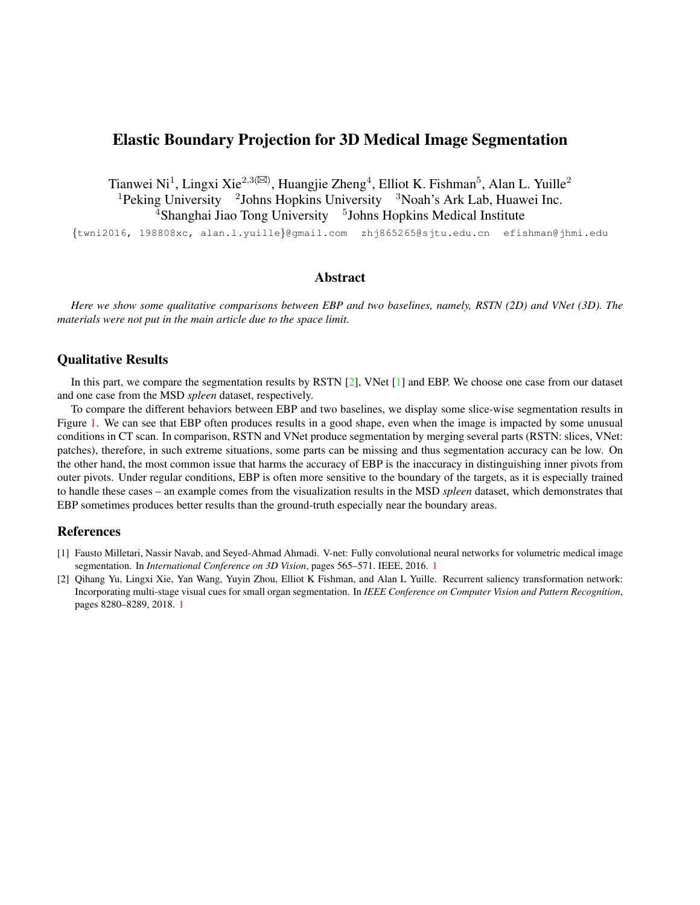## <span id="page-0-2"></span>Elastic Boundary Projection for 3D Medical Image Segmentation

Tianwei Ni<sup>1</sup>, Lingxi Xie<sup>2,3( $\boxtimes$ ), Huangjie Zheng<sup>4</sup>, Elliot K. Fishman<sup>5</sup>, Alan L. Yuille<sup>2</sup></sup> <sup>1</sup> Peking University <sup>2</sup> Johns Hopkins University <sup>3</sup> Noah's Ark Lab, Huawei Inc. <sup>4</sup>Shanghai Jiao Tong University <sup>5</sup>Johns Hopkins Medical Institute

{twni2016, 198808xc, alan.l.yuille}@gmail.com zhj865265@sjtu.edu.cn efishman@jhmi.edu

## Abstract

*Here we show some qualitative comparisons between EBP and two baselines, namely, RSTN (2D) and VNet (3D). The materials were not put in the main article due to the space limit.*

## Qualitative Results

In this part, we compare the segmentation results by RSTN [\[2\]](#page-0-0), VNet [\[1\]](#page-0-1) and EBP. We choose one case from our dataset and one case from the MSD *spleen* dataset, respectively.

To compare the different behaviors between EBP and two baselines, we display some slice-wise segmentation results in Figure [1.](#page-1-0) We can see that EBP often produces results in a good shape, even when the image is impacted by some unusual conditions in CT scan. In comparison, RSTN and VNet produce segmentation by merging several parts (RSTN: slices, VNet: patches), therefore, in such extreme situations, some parts can be missing and thus segmentation accuracy can be low. On the other hand, the most common issue that harms the accuracy of EBP is the inaccuracy in distinguishing inner pivots from outer pivots. Under regular conditions, EBP is often more sensitive to the boundary of the targets, as it is especially trained to handle these cases – an example comes from the visualization results in the MSD *spleen* dataset, which demonstrates that EBP sometimes produces better results than the ground-truth especially near the boundary areas.

## References

- <span id="page-0-1"></span>[1] Fausto Milletari, Nassir Navab, and Seyed-Ahmad Ahmadi. V-net: Fully convolutional neural networks for volumetric medical image segmentation. In *International Conference on 3D Vision*, pages 565–571. IEEE, 2016. [1](#page-0-2)
- <span id="page-0-0"></span>[2] Qihang Yu, Lingxi Xie, Yan Wang, Yuyin Zhou, Elliot K Fishman, and Alan L Yuille. Recurrent saliency transformation network: Incorporating multi-stage visual cues for small organ segmentation. In *IEEE Conference on Computer Vision and Pattern Recognition*, pages 8280–8289, 2018. [1](#page-0-2)